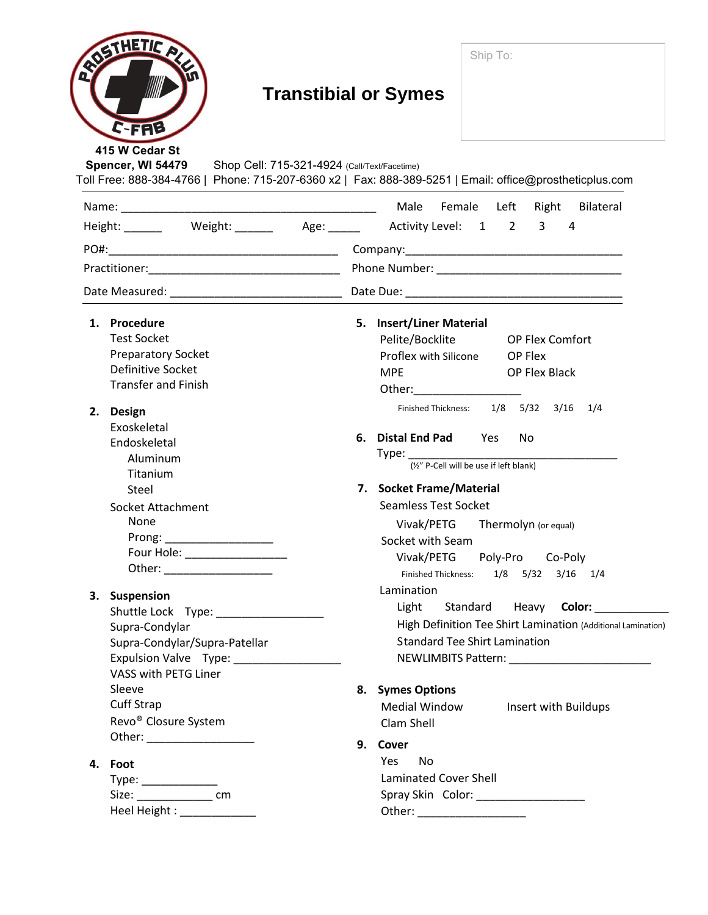| ROSTHETIC AVE<br>C-FAB<br>415 W Cedar St                                                                                                  | Ship To:<br><b>Transtibial or Symes</b>                                                                                                                                                                                                                                                                                                                                                           |
|-------------------------------------------------------------------------------------------------------------------------------------------|---------------------------------------------------------------------------------------------------------------------------------------------------------------------------------------------------------------------------------------------------------------------------------------------------------------------------------------------------------------------------------------------------|
| Spencer, WI 54479<br>Shop Cell: 715-321-4924 (Call/Text/Facetime)                                                                         | Toll Free: 888-384-4766   Phone: 715-207-6360 x2   Fax: 888-389-5251   Email: office@prostheticplus.com                                                                                                                                                                                                                                                                                           |
|                                                                                                                                           |                                                                                                                                                                                                                                                                                                                                                                                                   |
|                                                                                                                                           | Height: _______ Weight: ______ Age: _____ Activity Level: $\Box$ 1 $\Box$ 2 $\Box$ 3 $\Box$ 4                                                                                                                                                                                                                                                                                                     |
|                                                                                                                                           |                                                                                                                                                                                                                                                                                                                                                                                                   |
|                                                                                                                                           | Practitioner: Phone Number: Phone Number:                                                                                                                                                                                                                                                                                                                                                         |
|                                                                                                                                           |                                                                                                                                                                                                                                                                                                                                                                                                   |
| 1. Procedure<br><b>Test Socket</b><br><b>Preparatory Socket</b><br>Definitive Socket<br><b>Transfer and Finish</b><br><b>Design</b><br>2. | 5. Insert/Liner Material<br>Pelite/Bocklite<br>OP Flex Comfort<br>Proflex with Silicone   OP Flex<br>MPE OP Flex Black<br>Other: and the control of the control of the control of the control of the control of the control of the control of the control of the control of the control of the control of the control of the control of the control of t<br>Finished Thickness: 1/8 5/32 3/16 1/4 |
| Exoskeletal<br>Endoskeletal<br>Aluminum<br>Titanium<br><b>Steel</b>                                                                       | 6. Distal End Pad $\Box$ Yes $\Box$ No<br>Type: $\frac{1}{(x^2)^2}$ P-Cell will be use if left blank)<br>7. Socket Frame/Material                                                                                                                                                                                                                                                                 |
| Socket Attachment<br>None<br>Prong: ___________________<br> Four Hole: ____________________                                               | Seamless Test Socket<br>$\Box$ Vivak/PETG $\Box$ Thermolyn (or equal)<br>Socket with Seam<br>Vivak/PETG Poly-Pro Co-Poly<br>Finished Thickness: 1/8 5/32 3/16 1/4                                                                                                                                                                                                                                 |
| 3. Suspension<br>Shuttle Lock Type:<br>Supra-Condylar<br>Supra-Condylar/Supra-Patellar<br>Expulsion Valve Type: _________________         | Lamination<br>□Light Standard Heavy Color:<br>High Definition Tee Shirt Lamination (Additional Lamination)<br>Standard Tee Shirt Lamination                                                                                                                                                                                                                                                       |
| VASS with PETG Liner<br>Sleeve<br>Cuff Strap<br>Revo <sup>®</sup> Closure System                                                          | 8. Symes Options<br>Medial Window<br>Insert with Buildups<br>Clam Shell                                                                                                                                                                                                                                                                                                                           |
| 4. Foot<br>Size: _________________________ cm<br>Heel Height : ______________                                                             | Cover<br>9.<br>Yes No<br>Laminated Cover Shell<br>Spray Skin Color: ____________________                                                                                                                                                                                                                                                                                                          |